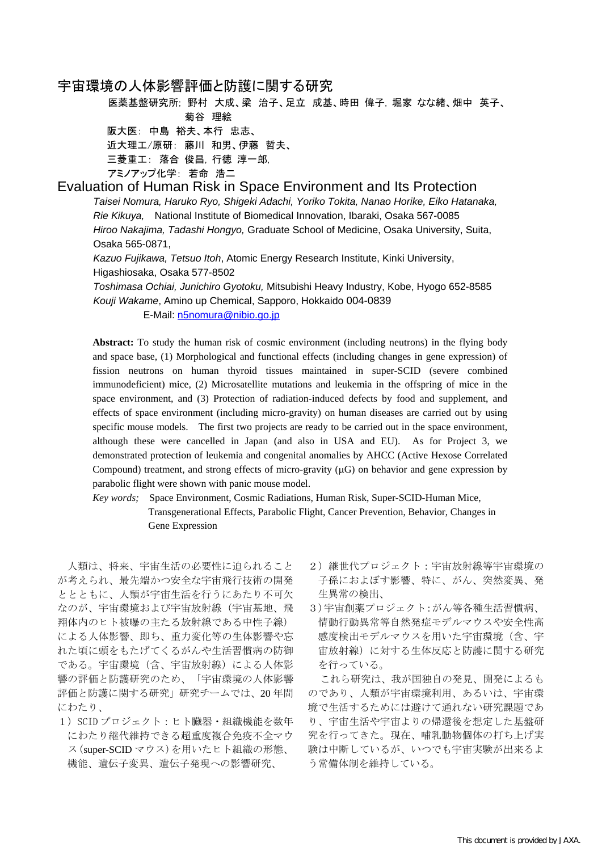# 宇宙環境の人体影響評価と防護に関する研究

医薬基盤研究所; 野村 大成、梁 治子、足立 成基、時田 偉子, 堀家 なな緒、畑中 英子、 菊谷 理絵

阪大医: 中島 裕夫、本行 忠志、 近大理工/原研: 藤川 和男、伊藤 哲夫、 三菱重工: 落合 俊昌, 行徳 淳一郎, アミノアップ化学: 若命 浩二

# Evaluation of Human Risk in Space Environment and Its Protection

*Taisei Nomura, Haruko Ryo, Shigeki Adachi, Yoriko Tokita, Nanao Horike, Eiko Hatanaka, Rie Kikuya,* National Institute of Biomedical Innovation, Ibaraki, Osaka 567-0085 *Hiroo Nakajima, Tadashi Hongyo,* Graduate School of Medicine, Osaka University, Suita, Osaka 565-0871,

*Kazuo Fujikawa, Tetsuo Itoh*, Atomic Energy Research Institute, Kinki University, Higashiosaka, Osaka 577-8502

*Toshimasa Ochiai, Junichiro Gyotoku,* Mitsubishi Heavy Industry, Kobe, Hyogo 652-8585 *Kouji Wakame*, Amino up Chemical, Sapporo, Hokkaido 004-0839

## E-Mail: n5nomura@nibio.go.jp

**Abstract:** To study the human risk of cosmic environment (including neutrons) in the flying body and space base, (1) Morphological and functional effects (including changes in gene expression) of fission neutrons on human thyroid tissues maintained in super-SCID (severe combined immunodeficient) mice, (2) Microsatellite mutations and leukemia in the offspring of mice in the space environment, and (3) Protection of radiation-induced defects by food and supplement, and effects of space environment (including micro-gravity) on human diseases are carried out by using specific mouse models. The first two projects are ready to be carried out in the space environment, although these were cancelled in Japan (and also in USA and EU). As for Project 3, we demonstrated protection of leukemia and congenital anomalies by AHCC (Active Hexose Correlated Compound) treatment, and strong effects of micro-gravity (μG) on behavior and gene expression by parabolic flight were shown with panic mouse model.

*Key words;* Space Environment, Cosmic Radiations, Human Risk, Super-SCID-Human Mice, Transgenerational Effects, Parabolic Flight, Cancer Prevention, Behavior, Changes in Gene Expression

人類は、将来、宇宙生活の必要性に迫られること が考えられ、最先端かつ安全な宇宙飛行技術の開発 ととともに、人類が宇宙生活を行うにあたり不可欠 なのが、宇宙環境および宇宙放射線(宇宙基地、飛 翔体内のヒト被曝の主たる放射線である中性子線) による人体影響、即ち、重力変化等の生体影響や忘 れた頃に頭をもたげてくるがんや生活習慣病の防御 である。宇宙環境(含、宇宙放射線)による人体影 響の評価と防護研究のため、「宇宙環境の人体影響 評価と防護に関する研究」研究チームでは、20 年間 にわたり、

1) SCID プロジェクト:ヒト臓器·組織機能を数年 にわたり継代維持できる超重度複合免疫不全マウ ス(super-SCID マウス)を用いたヒト組織の形態、 機能、遺伝子変異、遺伝子発現への影響研究、

- 2)継世代プロジェクト:宇宙放射線等宇宙環境の 子孫におよぼす影響、特に、がん、突然変異、発 生異常の検出、
- 3)宇宙創薬プロジェクト:がん等各種生活習慣病、 情動行動異常等自然発症モデルマウスや安全性高 感度検出モデルマウスを用いた宇宙環境(含、宇 宙放射線)に対する生体反応と防護に関する研究 を行っている。

これら研究は、我が国独自の発見、開発によるも のであり、人類が宇宙環境利用、あるいは、宇宙環 境で生活するためには避けて通れない研究課題であ り、宇宙生活や宇宙よりの帰還後を想定した基盤研 究を行ってきた。現在、哺乳動物個体の打ち上げ実 験は中断しているが、いつでも宇宙実験が出来るよ う常備体制を維持している。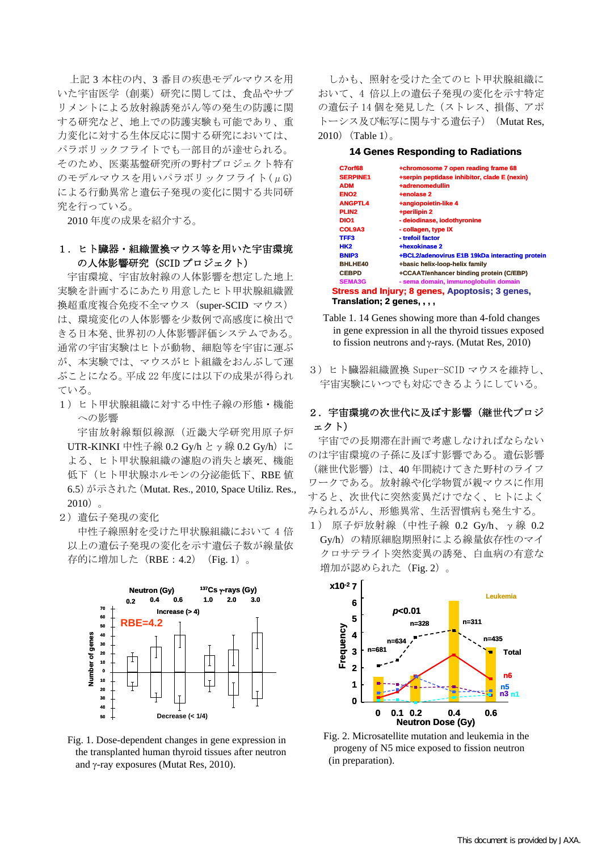上記 3 本柱の内、3 番目の疾患モデルマウスを用 いた宇宙医学(創薬)研究に関しては、食品やサプ リメントによる放射線誘発がん等の発生の防護に関 する研究など、地上での防護実験も可能であり、重 力変化に対する生体反応に関する研究においては、 パラボリックフライトでも一部目的が達せられる。 そのため、医薬基盤研究所の野村プロジェクト特有 のモデルマウスを用いパラボリックフライト(μG) による行動異常と遺伝子発現の変化に関する共同研 究を行っている。

2010 年度の成果を紹介する。

## 1.ヒト臓器・組織置換マウス等を用いた宇宙環境 の人体影響研究 (SCID プロジェクト)

宇宙環境、宇宙放射線の人体影響を想定した地上 実験を計画するにあたり用意したヒト甲状腺組織置 換超重度複合免疫不全マウス(super-SCID マウス) は、環境変化の人体影響を少数例で高感度に検出で きる日本発、世界初の人体影響評価システムである。 通常の宇宙実験はヒトが動物、細胞等を宇宙に運ぶ が、本実験では、マウスがヒト組織をおんぶして運 ぶことになる。平成 22 年度には以下の成果が得られ ている。

1)ヒト甲状腺組織に対する中性子線の形態・機能 への影響

宇宙放射線類似線源(近畿大学研究用原子炉 UTR-KINKI 中性子線 0.2 Gy/h と γ 線 0.2 Gy/h)に よる、ヒト甲状腺組織の濾胞の消失と壊死、機能 低下(ヒト甲状腺ホルモンの分泌能低下、RBE 値 6.5)が示された(Mutat. Res., 2010, Space Utiliz. Res.,  $2010$  。

2)遺伝子発現の変化

中性子線照射を受けた甲状腺組織において 4 倍 以上の遺伝子発現の変化を示す遺伝子数が線量依 存的に増加した (RBE: 4.2) (Fig. 1)。



Fig. 1. Dose-dependent changes in gene expression in the transplanted human thyroid tissues after neutron and γ-ray exposures (Mutat Res, 2010).

しかも、照射を受けた全てのヒト甲状腺組織に おいて、4 倍以上の遺伝子発現の変化を示す特定 の遺伝子14個を発見した(ストレス、損傷、アポ トーシス及び転写に関与する遺伝子) (Mutat Res, 2010)  $(Table 1)$ <sub>0</sub>

### **14 Genes Responding to Radiations**

| C7orf68                     | +chromosome 7 open reading frame 68             |
|-----------------------------|-------------------------------------------------|
| <b>SERPINE1</b>             | +serpin peptidase inhibitor, clade E (nexin)    |
| <b>ADM</b>                  | +adrenomedullin                                 |
| ENO <sub>2</sub>            | +enolase 2                                      |
| <b>ANGPTL4</b>              | +angiopoietin-like 4                            |
| PLIN <sub>2</sub>           | +perilipin 2                                    |
| DIO <sub>1</sub>            | - deiodinase, iodothyronine                     |
| COL9A3                      | - collagen, type IX                             |
| TFF3                        | - trefoil factor                                |
| <b>HK2</b>                  | +hexokinase 2                                   |
| <b>BNIP3</b>                | +BCL2/adenovirus E1B 19kDa interacting protein  |
| <b>BHLHE40</b>              | +basic helix-loop-helix family                  |
| <b>CEBPD</b>                | +CCAAT/enhancer binding protein (C/EBP)         |
| <b>SEMA3G</b>               | - sema domain, immunoglobulin domain            |
|                             | Stress and Injury; 8 genes, Apoptosis; 3 genes, |
| Translation; 2 genes, , , , |                                                 |

- Table 1. 14 Genes showing more than 4-fold changes in gene expression in all the thyroid tissues exposed to fission neutrons and γ-rays. (Mutat Res, 2010)
- 3)ヒト臓器組織置換 Super-SCID マウスを維持し、 宇宙実験にいつでも対応できるようにしている。

# 2. 宇宙環境の次世代に及ぼす影響(継世代プロジ ェクト)

宇宙での長期滞在計画で考慮しなければならない のは宇宙環境の子孫に及ぼす影響である。遺伝影響 (継世代影響)は、40 年間続けてきた野村のライフ ワークである。放射線や化学物質が親マウスに作用 すると、次世代に突然変異だけでなく、ヒトによく みられるがん、形態異常、生活習慣病も発生する。 1) 原子炉放射線(中性子線 0.2 Gy/h、γ線 0.2 Gy/h)の精原細胞期照射による線量依存性のマイ クロサテライト突然変異の誘発、白血病の有意な 増加が認められた (Fig. 2)。



Fig. 2. Microsatellite mutation and leukemia in the progeny of N5 mice exposed to fission neutron (in preparation).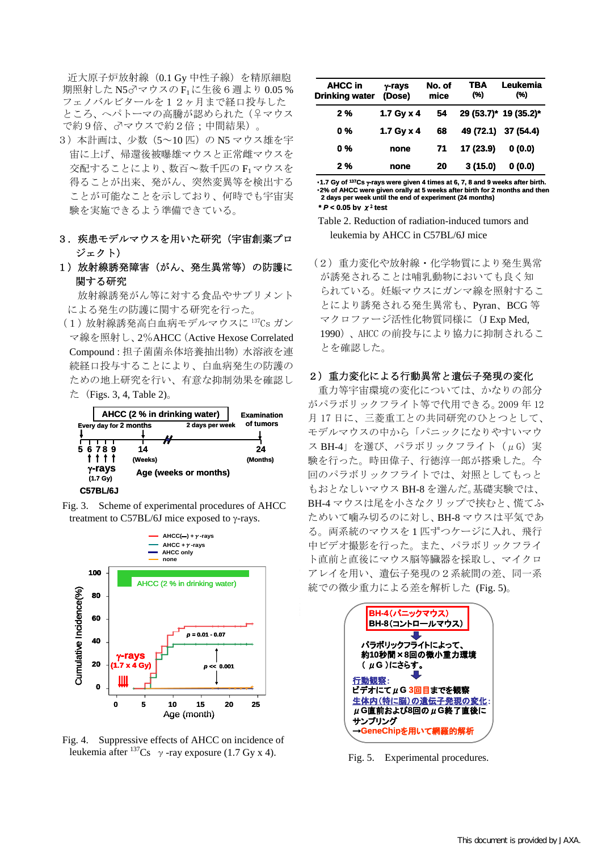近大原子炉放射線(0.1 Gy 中性子線)を精原細胞 期照射した N5♂マウスの F<sub>1</sub>に生後6週より 0.05 % フェノバルビタールを12ヶ月まで経口投与した ところ、へパトーマの高騰が認められた(♀マウス で約9倍、♂マウスで約2倍;中間結果)。

- 3) 本計画は、少数 (5~10 匹) の N5 マウス雄を宇 宙に上げ、帰還後被曝雄マウスと正常雌マウスを 交配することにより、数百~数千匹の F1マウスを 得ることが出来、発がん、突然変異等を検出する ことが可能なことを示しており、何時でも宇宙実 験を実施できるよう準備できている。
- 3. 疾患モデルマウスを用いた研究(宇宙創薬プロ ジェクト)
- 1)放射線誘発障害(がん、発生異常等)の防護に 関する研究

放射線誘発がん等に対する食品やサプリメント による発生の防護に関する研究を行った。

(1)放射線誘発高白血病モデルマウスに 137Cs ガン マ線を照射し、2%AHCC(Active Hexose Correlated Compound:担子菌菌糸体培養抽出物)水溶液を連 続経口投与することにより、白血病発生の防護の ための地上研究を行い、有意な抑制効果を確認し た (Figs. 3, 4, Table 2)。







Fig. 4. Suppressive effects of AHCC on incidence of leukemia after  $^{137}Cs \rightarrow$ -ray exposure (1.7 Gy x 4).

| AHCC in<br><b>Drinking water</b> | $\gamma$ -rays<br>(Dose) | No. of<br>mice | TBA<br>(%) | Leukemia<br>(%)       |
|----------------------------------|--------------------------|----------------|------------|-----------------------|
| 2%                               | 1.7 Gy $\times$ 4        | 54             |            | 29 (53.7)* 19 (35.2)* |
| 0 %                              | 1.7 Gy $\times$ 4        | 68             |            | 49 (72.1) 37 (54.4)   |
| 0 %                              | none                     | 71             | 17 (23.9)  | 0(0.0)                |
| 2%                               | none                     | 20             | 3(15.0)    | 0(0.0)                |

・**1.7 Gy of 137Cs** γ**-rays were given 4 times at 6, 7, 8 and 9 weeks after birth.** ・**2% of AHCC were given orally at 5 weeks after birth for 2 months and then 2 days per week until the end of experiment (24 months) \*** *P* **< 0.05 by** χ<sup>2</sup> **test**

- Table 2. Reduction of radiation-induced tumors and leukemia by AHCC in C57BL/6J mice
- (2)重力変化や放射線・化学物質により発生異常 が誘発されることは哺乳動物においても良く知 られている。妊娠マウスにガンマ線を照射するこ とにより誘発される発生異常も、Pyran、BCG 等 マクロファージ活性化物質同様に(J Exp Med, 1990)、AHCC の前投与により協力に抑制されるこ とを確認した。

### 2) 重力変化による行動異常と遺伝子発現の変化

 重力等宇宙環境の変化については、かなりの部分 がパラボリックフライト等で代用できる。2009 年 12 月 17 日に、三菱重工との共同研究のひとつとして、 モデルマウスの中から「パニックになりやすいマウ ス BH-4」を選び、パラボリックフライト(µG)実 験を行った。時田偉子、行徳淳一郎が搭乗した。今 回のパラボリックフライトでは、対照としてもっと もおとなしいマウス BH-8 を選んだ。基礎実験では、 BH-4 マウスは尾を小さなクリップで挟むと、慌てふ ためいて噛み切るのに対し、BH-8 マウスは平気であ る。両系統のマウスを 1 匹ずつケージに入れ、飛行 中ビデオ撮影を行った。また、パラボリックフライ ト直前と直後にマウス脳等臓器を採取し、マイクロ アレイを用い、遺伝子発現の2系統間の差、同一系 統での微少重力による差を解析した (Fig. 5)。



Fig. 5. Experimental procedures.